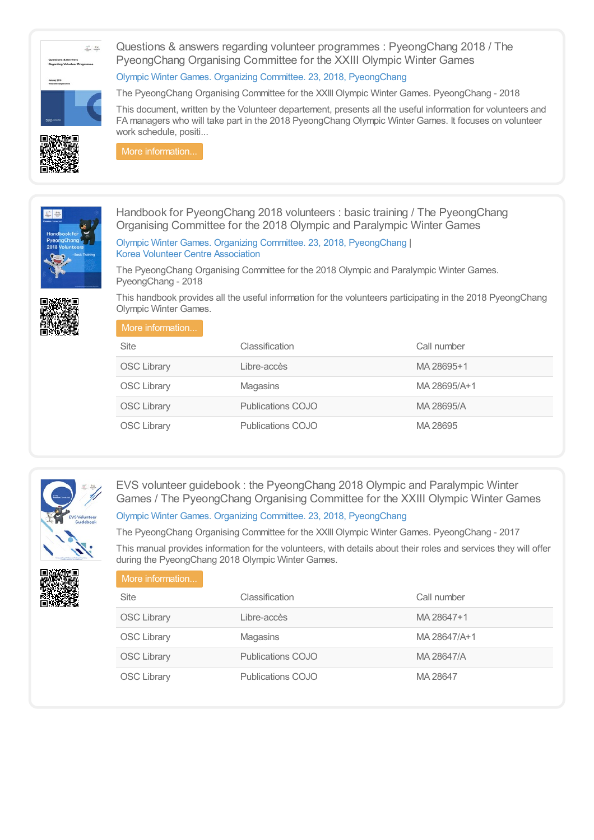# $\frac{\Omega^2}{\omega_{\rm obs}}$  (ex.

Questions & answers regarding volunteer programmes : PyeongChang 2018 / The PyeongChang Organising Committee for the XXIII Olympic Winter Games

### Olympic Winter Games. Organizing Committee. 23, 2018, [PyeongChang](https://library.olympics.com/Default/search.aspx?SC=DEFAULT&QUERY=Authority_id_idx%253a1583&QUERY_LABEL=Olympic+Winter+Games.+Organizing+Committee.+23%252c+2018%252c+PyeongChang)

The PyeongChang Organising Committee for the XXIII Olympic Winter Games. PyeongChang - 2018

This document, written by the Volunteer departement, presents all the useful information for volunteers and FA managers who will take part in the 2018 PyeongChang Olympic Winter Games. It focuses on volunteer work schedule, positi...



More [information...](https://library.olympics.com/Default/doc/SYRACUSE/172488/questions-answers-regarding-volunteer-programmes-pyeongchang-2018-the-pyeongchang-organising-committ)



Handbook for PyeongChang 2018 volunteers : basic training / The PyeongChang Organising Committee for the 2018 Olympic and Paralympic Winter Games

Olympic Winter Games. Organizing Committee. 23, 2018, [PyeongChang](https://library.olympics.com/Default/search.aspx?SC=DEFAULT&QUERY=Authority_id_idx%253a1583&QUERY_LABEL=Olympic+Winter+Games.+Organizing+Committee.+23%252c+2018%252c+PyeongChang) | Korea Volunteer Centre [Association](https://library.olympics.com/Default/search.aspx?SC=DEFAULT&QUERY=Authority_id_idx%253a175375&QUERY_LABEL=Korea+Volunteer+Centre+Association)

The PyeongChang Organising Committee for the 2018 Olympic and Paralympic Winter Games. PyeongChang - 2018



This handbook provides all the useful information for the volunteers participating in the 2018 PyeongChang Olympic Winter Games.

| More information   |                          |              |
|--------------------|--------------------------|--------------|
| Site               | Classification           | Call number  |
| <b>OSC Library</b> | Libre-accès              | MA 28695+1   |
| <b>OSC Library</b> | Magasins                 | MA 28695/A+1 |
| <b>OSC Library</b> | <b>Publications COJO</b> | MA 28695/A   |
| <b>OSC Library</b> | <b>Publications COJO</b> | MA 28695     |



EVS volunteer guidebook : the PyeongChang 2018 Olympic and Paralympic Winter Games / The PyeongChang Organising Committee for the XXIII Olympic Winter Games Olympic Winter Games. Organizing Committee. 23, 2018, [PyeongChang](https://library.olympics.com/Default/search.aspx?SC=DEFAULT&QUERY=Authority_id_idx%253a1583&QUERY_LABEL=Olympic+Winter+Games.+Organizing+Committee.+23%252c+2018%252c+PyeongChang)

The PyeongChang Organising Committee for the XXIII Olympic Winter Games. PyeongChang - 2017

This manual provides information for the volunteers, with details about their roles and services they will offer during the PyeongChang 2018 Olympic Winter Games.



| 1                  |                   |              |
|--------------------|-------------------|--------------|
| Site               | Classification    | Call number  |
| <b>OSC Library</b> | Libre-accès       | MA 28647+1   |
| <b>OSC Library</b> | Magasins          | MA 28647/A+1 |
| <b>OSC Library</b> | Publications COJO | MA 28647/A   |
| <b>OSC Library</b> | Publications COJO | MA 28647     |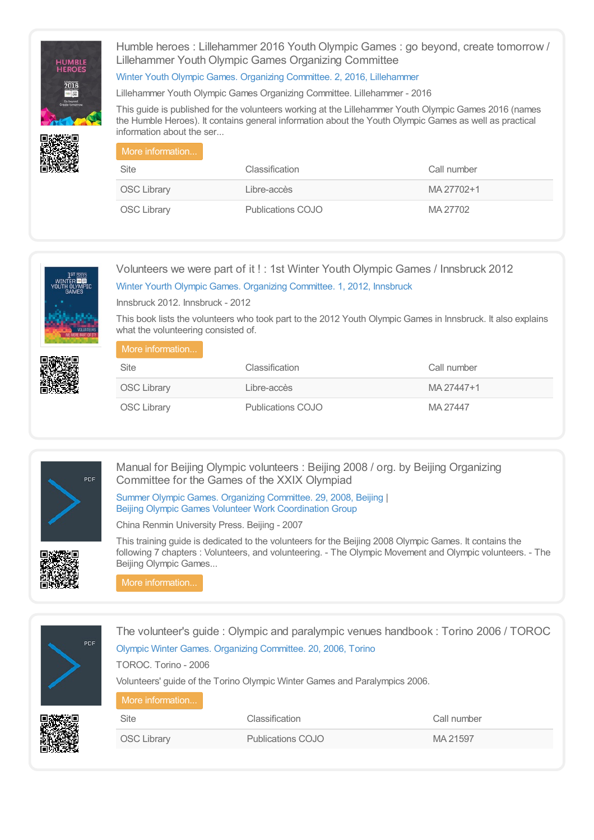

Humble heroes : Lillehammer 2016 Youth Olympic Games : go beyond, create tomorrow / Lillehammer Youth Olympic Games Organizing Committee

### Winter Youth Olympic Games. Organizing Committee. 2, 2016, [Lillehammer](https://library.olympics.com/Default/search.aspx?SC=DEFAULT&QUERY=Authority_id_idx%253a2731&QUERY_LABEL=Winter+Youth+Olympic+Games.+Organizing+Committee.+2%252c+2016%252c+Lillehammer)

Lillehammer Youth Olympic Games Organizing Committee. Lillehammer - 2016

This guide is published for the volunteers working at the Lillehammer Youth Olympic Games 2016 (names the Humble Heroes). It contains general information about the Youth Olympic Games as well as practical information about the ser...

| More information   |                   |             |
|--------------------|-------------------|-------------|
| Site               | Classification    | Call number |
| <b>OSC Library</b> | Libre-accès       | MA 27702+1  |
| <b>OSC Library</b> | Publications COJO | MA 27702    |



## Volunteers we were part of it ! : 1st Winter Youth Olympic Games / Innsbruck 2012 Winter Yourth Olympic Games. Organizing [Committee.](https://library.olympics.com/Default/search.aspx?SC=DEFAULT&QUERY=Authority_id_idx%253a3072&QUERY_LABEL=Winter+Yourth+Olympic+Games.+Organizing+Committee.+1%252c+2012%252c+Innsbruck) 1, 2012, Innsbruck

Innsbruck 2012. Innsbruck - 2012

This book lists the volunteers who took part to the 2012 Youth Olympic Games in Innsbruck. It also explains what the volunteering consisted of.

| More information   |                   |             |
|--------------------|-------------------|-------------|
| Site               | Classification    | Call number |
| <b>OSC Library</b> | Libre-accès       | MA 27447+1  |
| <b>OSC Library</b> | Publications COJO | MA 27447    |



Manual for Beijing Olympic volunteers : Beijing 2008 / org. by Beijing Organizing Committee for the Games of the XXIX Olympiad

Summer Olympic Games. Organizing [Committee.](https://library.olympics.com/Default/search.aspx?SC=DEFAULT&QUERY=Authority_id_idx%253a284&QUERY_LABEL=Summer+Olympic+Games.+Organizing+Committee.+29%252c+2008%252c+Beijing) 29, 2008, Beijing | Beijing Olympic Games Volunteer Work [Coordination](https://library.olympics.com/Default/search.aspx?SC=DEFAULT&QUERY=Authority_id_idx%253a187013&QUERY_LABEL=Beijing+Olympic+Games+Volunteer+Work+Coordination+Group) Group

China Renmin University Press. Beijing - 2007

This training guide is dedicated to the volunteers for the Beijing 2008 Olympic Games. It contains the following 7 chapters : Volunteers, and volunteering. - The Olympic Movement and Olympic volunteers. - The Beijing Olympic Games...

More [information...](https://library.olympics.com/Default/doc/SYRACUSE/186587/manual-for-beijing-olympic-volunteers-beijing-2008-org-by-beijing-organizing-committee-for-the-games)

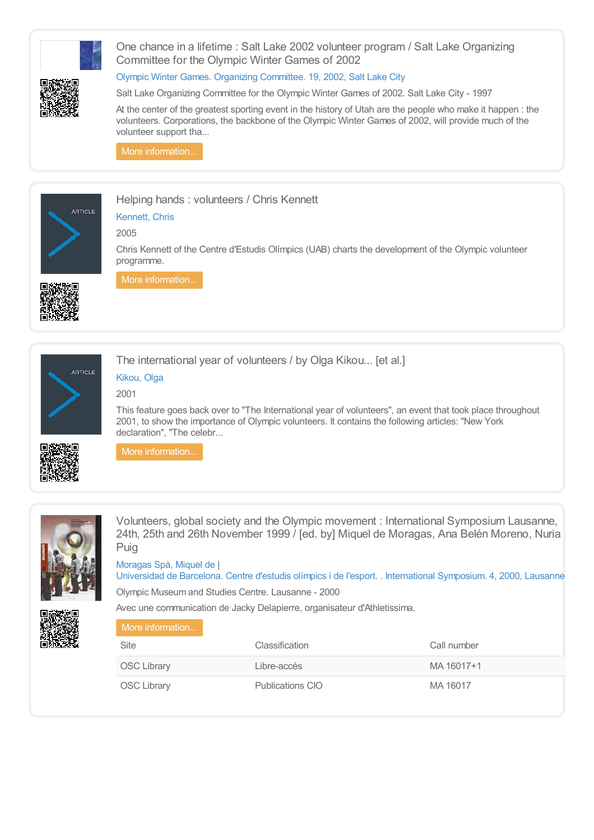

Olympic Museum and Studies Centre. Lausanne - 2000

Avec une communication de Jacky Delapierre, organisateur d'Athletissima.